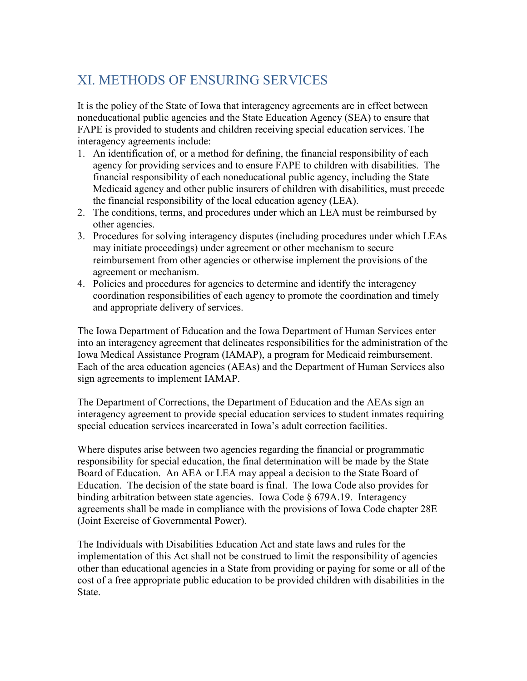## XI. METHODS OF ENSURING SERVICES

It is the policy of the State of Iowa that interagency agreements are in effect between noneducational public agencies and the State Education Agency (SEA) to ensure that FAPE is provided to students and children receiving special education services. The interagency agreements include:

- 1. An identification of, or a method for defining, the financial responsibility of each agency for providing services and to ensure FAPE to children with disabilities. The financial responsibility of each noneducational public agency, including the State Medicaid agency and other public insurers of children with disabilities, must precede the financial responsibility of the local education agency (LEA).
- 2. The conditions, terms, and procedures under which an LEA must be reimbursed by other agencies.
- 3. Procedures for solving interagency disputes (including procedures under which LEAs may initiate proceedings) under agreement or other mechanism to secure reimbursement from other agencies or otherwise implement the provisions of the agreement or mechanism.
- 4. Policies and procedures for agencies to determine and identify the interagency coordination responsibilities of each agency to promote the coordination and timely and appropriate delivery of services.

The Iowa Department of Education and the Iowa Department of Human Services enter into an interagency agreement that delineates responsibilities for the administration of the Iowa Medical Assistance Program (IAMAP), a program for Medicaid reimbursement. Each of the area education agencies (AEAs) and the Department of Human Services also sign agreements to implement IAMAP.

The Department of Corrections, the Department of Education and the AEAs sign an interagency agreement to provide special education services to student inmates requiring special education services incarcerated in Iowa's adult correction facilities.

Where disputes arise between two agencies regarding the financial or programmatic responsibility for special education, the final determination will be made by the State Board of Education. An AEA or LEA may appeal a decision to the State Board of Education. The decision of the state board is final. The Iowa Code also provides for binding arbitration between state agencies. Iowa Code § 679A.19. Interagency agreements shall be made in compliance with the provisions of Iowa Code chapter 28E (Joint Exercise of Governmental Power).

The Individuals with Disabilities Education Act and state laws and rules for the implementation of this Act shall not be construed to limit the responsibility of agencies other than educational agencies in a State from providing or paying for some or all of the cost of a free appropriate public education to be provided children with disabilities in the State.